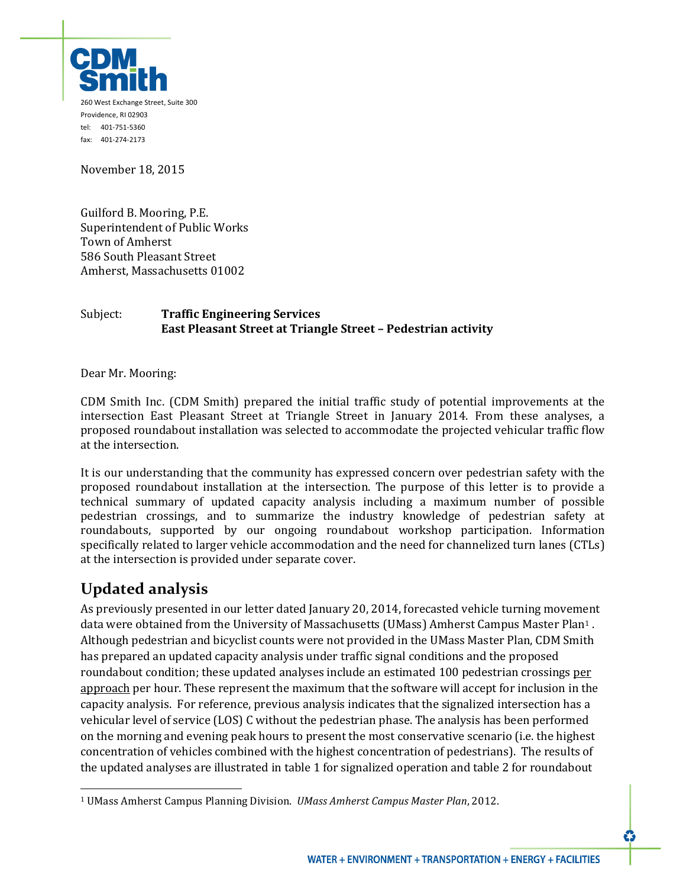

November 18, 2015

Guilford B. Mooring, P.E. Superintendent of Public Works Town of Amherst 586 South Pleasant Street Amherst, Massachusetts 01002

#### Subject: **Traffic Engineering Services East Pleasant Street at Triangle Street – Pedestrian activity**

Dear Mr. Mooring:

CDM Smith Inc. (CDM Smith) prepared the initial traffic study of potential improvements at the intersection East Pleasant Street at Triangle Street in January 2014. From these analyses, a proposed roundabout installation was selected to accommodate the projected vehicular traffic flow at the intersection.

It is our understanding that the community has expressed concern over pedestrian safety with the proposed roundabout installation at the intersection. The purpose of this letter is to provide a technical summary of updated capacity analysis including a maximum number of possible pedestrian crossings, and to summarize the industry knowledge of pedestrian safety at roundabouts, supported by our ongoing roundabout workshop participation. Information specifically related to larger vehicle accommodation and the need for channelized turn lanes (CTLs) at the intersection is provided under separate cover.

# **Updated analysis**

 $\overline{a}$ 

As previously presented in our letter dated January 20, 2014, forecasted vehicle turning movement data were obtained from the University of Massachusetts (UMass) Amherst Campus Master Plan1 . Although pedestrian and bicyclist counts were not provided in the UMass Master Plan, CDM Smith has prepared an updated capacity analysis under traffic signal conditions and the proposed roundabout condition; these updated analyses include an estimated 100 pedestrian crossings per approach per hour. These represent the maximum that the software will accept for inclusion in the capacity analysis. For reference, previous analysis indicates that the signalized intersection has a vehicular level of service (LOS) C without the pedestrian phase. The analysis has been performed on the morning and evening peak hours to present the most conservative scenario (i.e. the highest concentration of vehicles combined with the highest concentration of pedestrians). The results of the updated analyses are illustrated in table 1 for signalized operation and table 2 for roundabout

<sup>1</sup> UMass Amherst Campus Planning Division. *UMass Amherst Campus Master Plan*, 2012.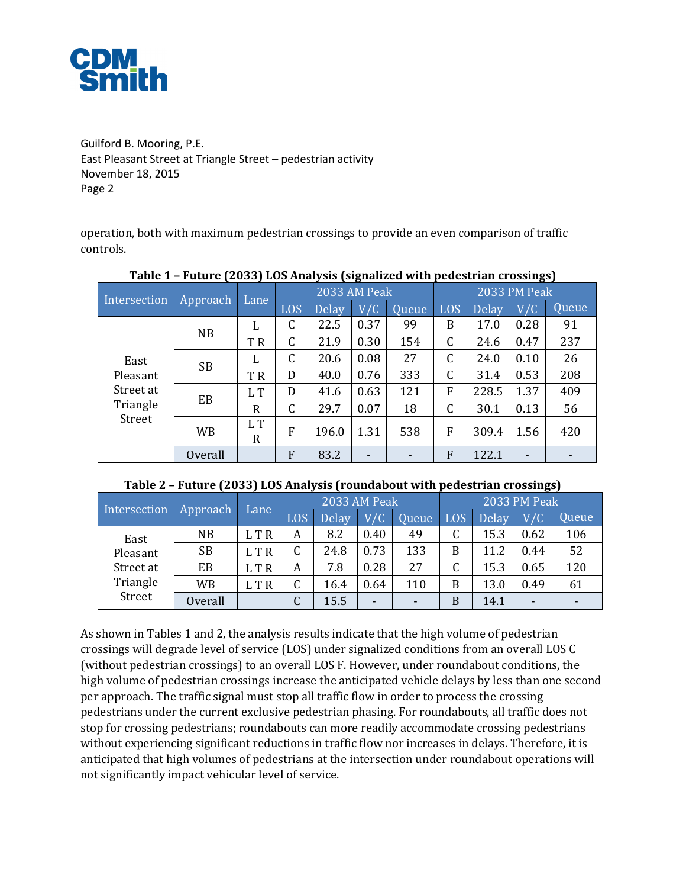

operation, both with maximum pedestrian crossings to provide an even comparison of traffic controls.

|                                                     | ס-ט-יט-        |          |              |       |      | °07   |              |              |                          |       |
|-----------------------------------------------------|----------------|----------|--------------|-------|------|-------|--------------|--------------|--------------------------|-------|
| Intersection                                        | Approach       | Lane     | 2033 AM Peak |       |      |       | 2033 PM Peak |              |                          |       |
|                                                     |                |          | <b>LOS</b>   | Delay | V/C  | Queue | LOS          | <b>Delay</b> | V/C                      | Queue |
| East<br>Pleasant<br>Street at<br>Triangle<br>Street | NB             | L        | C            | 22.5  | 0.37 | 99    | B            | 17.0         | 0.28                     | 91    |
|                                                     |                | T R      | C            | 21.9  | 0.30 | 154   | C            | 24.6         | 0.47                     | 237   |
|                                                     | <b>SB</b>      | L        | C            | 20.6  | 0.08 | 27    | C            | 24.0         | 0.10                     | 26    |
|                                                     |                | T R      | D            | 40.0  | 0.76 | 333   | C            | 31.4         | 0.53                     | 208   |
|                                                     | EB             | L T      | D            | 41.6  | 0.63 | 121   | F            | 228.5        | 1.37                     | 409   |
|                                                     |                | R        | C            | 29.7  | 0.07 | 18    | C            | 30.1         | 0.13                     | 56    |
|                                                     | WB             | L T<br>R | F            | 196.0 | 1.31 | 538   | F            | 309.4        | 1.56                     | 420   |
|                                                     | <b>Overall</b> |          | F            | 83.2  |      |       | F            | 122.1        | $\overline{\phantom{0}}$ |       |

#### **Table 1 – Future (2033) LOS Analysis (signalized with pedestrian crossings)**

| Table 2 - Future (2033) LOS Analysis (roundabout with pedestrian crossings) |  |  |  |  |  |
|-----------------------------------------------------------------------------|--|--|--|--|--|
|-----------------------------------------------------------------------------|--|--|--|--|--|

| Intersection | Approach <sup>'</sup> | Lane  | 2033 AM Peak |              |      |              | 2033 PM Peak |              |                          |       |
|--------------|-----------------------|-------|--------------|--------------|------|--------------|--------------|--------------|--------------------------|-------|
|              |                       |       | LOS          | <b>Delay</b> | V/C  | <b>Oueue</b> | LOS.         | <b>Delay</b> | V/C                      | Oueue |
| East         | <b>NB</b>             | L T R | A            | 8.2          | 0.40 | 49           |              | 15.3         | 0.62                     | 106   |
| Pleasant     | <b>SB</b>             | L T R |              | 24.8         | 0.73 | 133          | B            | 11.2         | 0.44                     | 52    |
| Street at    | EB                    | L T R | A            | 7.8          | 0.28 | 27           |              | 15.3         | 0.65                     | 120   |
| Triangle     | WB                    | L T R |              | 16.4         | 0.64 | 110          | В            | 13.0         | 0.49                     | 61    |
| Street       | <b>Overall</b>        |       |              | 15.5         | -    | -            | В            | 14.1         | $\overline{\phantom{0}}$ |       |

As shown in Tables 1 and 2, the analysis results indicate that the high volume of pedestrian crossings will degrade level of service (LOS) under signalized conditions from an overall LOS C (without pedestrian crossings) to an overall LOS F. However, under roundabout conditions, the high volume of pedestrian crossings increase the anticipated vehicle delays by less than one second per approach. The traffic signal must stop all traffic flow in order to process the crossing pedestrians under the current exclusive pedestrian phasing. For roundabouts, all traffic does not stop for crossing pedestrians; roundabouts can more readily accommodate crossing pedestrians without experiencing significant reductions in traffic flow nor increases in delays. Therefore, it is anticipated that high volumes of pedestrians at the intersection under roundabout operations will not significantly impact vehicular level of service.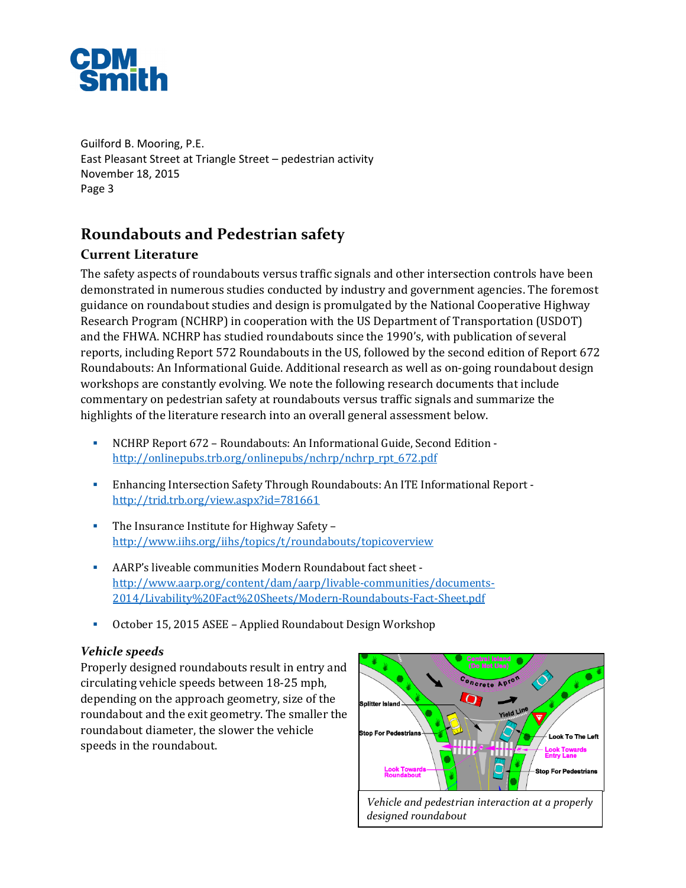

# **Roundabouts and Pedestrian safety**

## **Current Literature**

The safety aspects of roundabouts versus traffic signals and other intersection controls have been demonstrated in numerous studies conducted by industry and government agencies. The foremost guidance on roundabout studies and design is promulgated by the National Cooperative Highway Research Program (NCHRP) in cooperation with the US Department of Transportation (USDOT) and the FHWA. NCHRP has studied roundabouts since the 1990's, with publication of several reports, including Report 572 Roundabouts in the US, followed by the second edition of Report 672 Roundabouts: An Informational Guide. Additional research as well as on-going roundabout design workshops are constantly evolving. We note the following research documents that include commentary on pedestrian safety at roundabouts versus traffic signals and summarize the highlights of the literature research into an overall general assessment below.

- NCHRP Report 672 Roundabouts: An Informational Guide, Second Edition http://onlinepubs.trb.org/onlinepubs/nchrp/nchrp\_rpt\_672.pdf
- Enhancing Intersection Safety Through Roundabouts: An ITE Informational Report http://trid.trb.org/view.aspx?id=781661
- The Insurance Institute for Highway Safety http://www.iihs.org/iihs/topics/t/roundabouts/topicoverview
- AARP's liveable communities Modern Roundabout fact sheet http://www.aarp.org/content/dam/aarp/livable-communities/documents-2014/Livability%20Fact%20Sheets/Modern-Roundabouts-Fact-Sheet.pdf
- October 15, 2015 ASEE Applied Roundabout Design Workshop

#### *Vehicle speeds*

Properly designed roundabouts result in entry and circulating vehicle speeds between 18-25 mph, depending on the approach geometry, size of the roundabout and the exit geometry. The smaller the roundabout diameter, the slower the vehicle speeds in the roundabout.

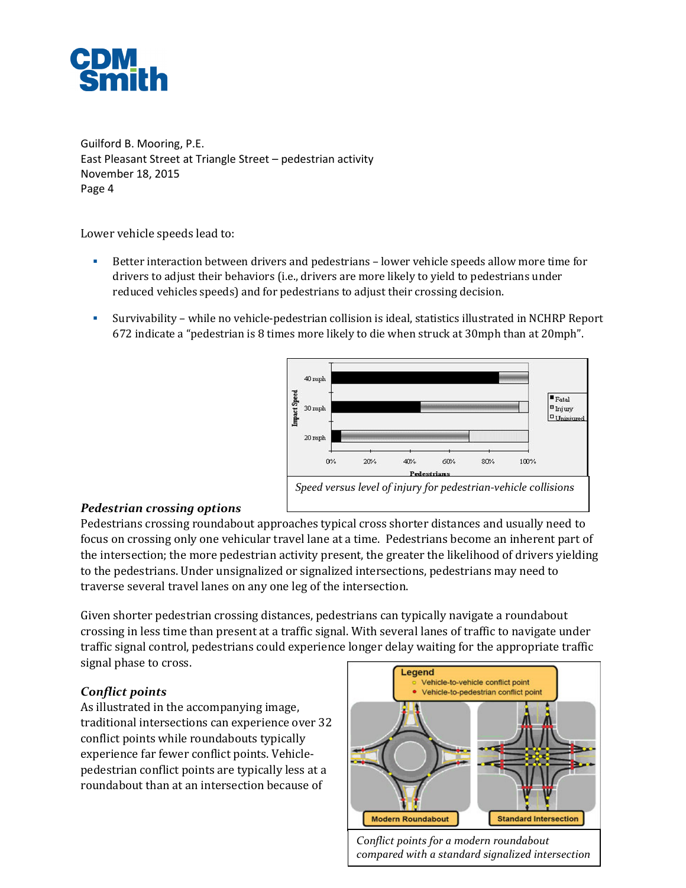

Lower vehicle speeds lead to:

- Better interaction between drivers and pedestrians lower vehicle speeds allow more time for drivers to adjust their behaviors (i.e., drivers are more likely to yield to pedestrians under reduced vehicles speeds) and for pedestrians to adjust their crossing decision.
- Survivability while no vehicle-pedestrian collision is ideal, statistics illustrated in NCHRP Report 672 indicate a "pedestrian is 8 times more likely to die when struck at 30mph than at 20mph".



#### *Pedestrian crossing options*

Pedestrians crossing roundabout approaches typical cross shorter distances and usually need to focus on crossing only one vehicular travel lane at a time. Pedestrians become an inherent part of the intersection; the more pedestrian activity present, the greater the likelihood of drivers yielding to the pedestrians. Under unsignalized or signalized intersections, pedestrians may need to traverse several travel lanes on any one leg of the intersection.

Given shorter pedestrian crossing distances, pedestrians can typically navigate a roundabout crossing in less time than present at a traffic signal. With several lanes of traffic to navigate under traffic signal control, pedestrians could experience longer delay waiting for the appropriate traffic signal phase to cross.

#### *Conflict points*

As illustrated in the accompanying image, traditional intersections can experience over 32 conflict points while roundabouts typically experience far fewer conflict points. Vehiclepedestrian conflict points are typically less at a roundabout than at an intersection because of



*Conflict points for a modern roundabout compared with a standard signalized intersection*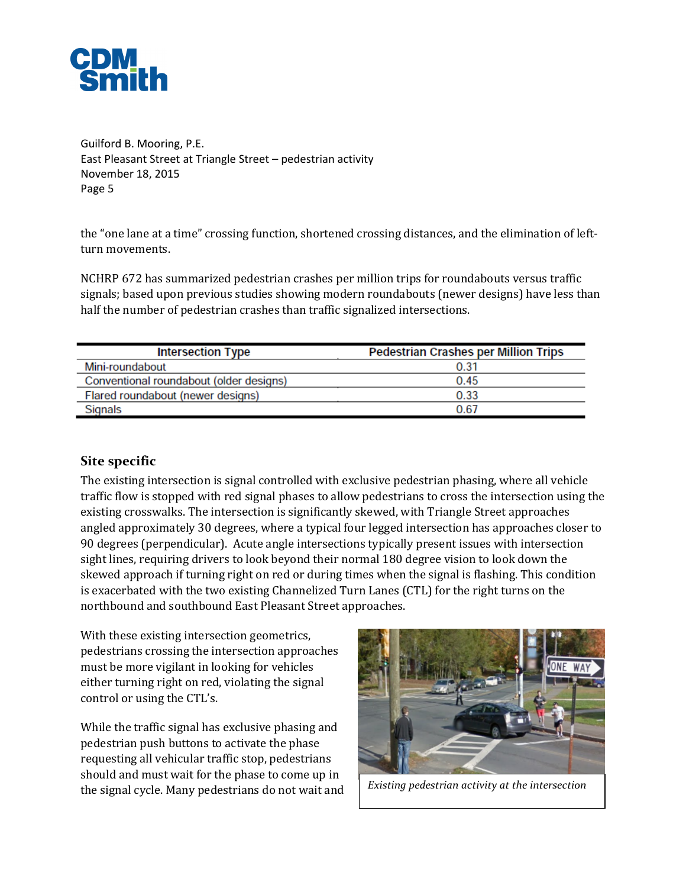

the "one lane at a time" crossing function, shortened crossing distances, and the elimination of leftturn movements.

NCHRP 672 has summarized pedestrian crashes per million trips for roundabouts versus traffic signals; based upon previous studies showing modern roundabouts (newer designs) have less than half the number of pedestrian crashes than traffic signalized intersections.

| <b>Intersection Type</b>                | <b>Pedestrian Crashes per Million Trips</b> |  |  |  |  |  |
|-----------------------------------------|---------------------------------------------|--|--|--|--|--|
| Mini-roundabout                         | 0.31                                        |  |  |  |  |  |
| Conventional roundabout (older designs) | 0.45                                        |  |  |  |  |  |
| Flared roundabout (newer designs)       | 0.33                                        |  |  |  |  |  |
| Signals                                 | 0.67                                        |  |  |  |  |  |

### **Site specific**

The existing intersection is signal controlled with exclusive pedestrian phasing, where all vehicle traffic flow is stopped with red signal phases to allow pedestrians to cross the intersection using the existing crosswalks. The intersection is significantly skewed, with Triangle Street approaches angled approximately 30 degrees, where a typical four legged intersection has approaches closer to 90 degrees (perpendicular). Acute angle intersections typically present issues with intersection sight lines, requiring drivers to look beyond their normal 180 degree vision to look down the skewed approach if turning right on red or during times when the signal is flashing. This condition is exacerbated with the two existing Channelized Turn Lanes (CTL) for the right turns on the northbound and southbound East Pleasant Street approaches.

With these existing intersection geometrics, pedestrians crossing the intersection approaches must be more vigilant in looking for vehicles either turning right on red, violating the signal control or using the CTL's.

While the traffic signal has exclusive phasing and pedestrian push buttons to activate the phase requesting all vehicular traffic stop, pedestrians should and must wait for the phase to come up in the signal cycle. Many pedestrians do not wait and *Existing pedestrian activity at the intersection*

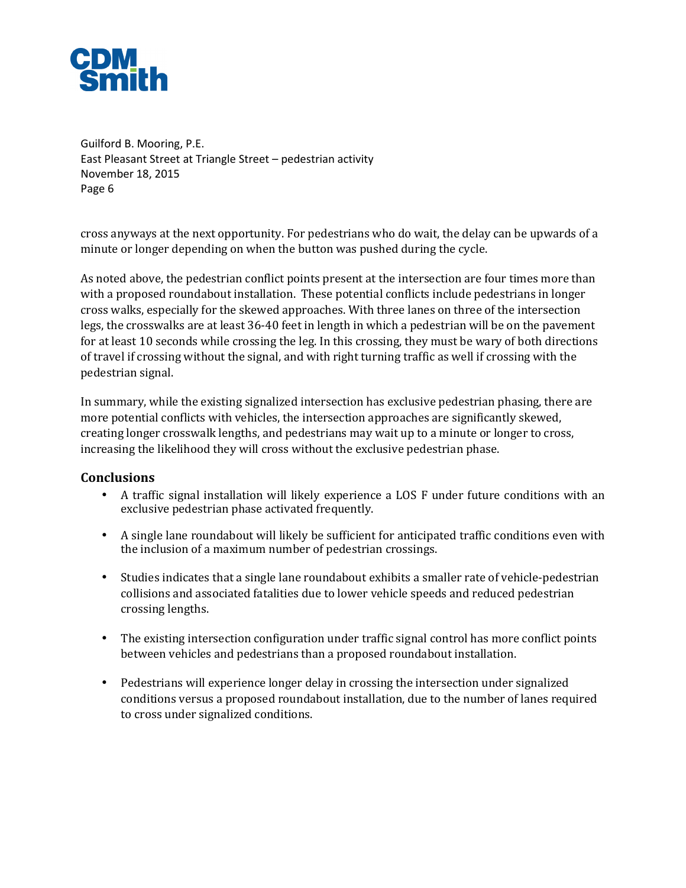

cross anyways at the next opportunity. For pedestrians who do wait, the delay can be upwards of a minute or longer depending on when the button was pushed during the cycle.

As noted above, the pedestrian conflict points present at the intersection are four times more than with a proposed roundabout installation. These potential conflicts include pedestrians in longer cross walks, especially for the skewed approaches. With three lanes on three of the intersection legs, the crosswalks are at least 36-40 feet in length in which a pedestrian will be on the pavement for at least 10 seconds while crossing the leg. In this crossing, they must be wary of both directions of travel if crossing without the signal, and with right turning traffic as well if crossing with the pedestrian signal.

In summary, while the existing signalized intersection has exclusive pedestrian phasing, there are more potential conflicts with vehicles, the intersection approaches are significantly skewed, creating longer crosswalk lengths, and pedestrians may wait up to a minute or longer to cross, increasing the likelihood they will cross without the exclusive pedestrian phase.

#### **Conclusions**

- A traffic signal installation will likely experience a LOS F under future conditions with an exclusive pedestrian phase activated frequently.
- A single lane roundabout will likely be sufficient for anticipated traffic conditions even with the inclusion of a maximum number of pedestrian crossings.
- Studies indicates that a single lane roundabout exhibits a smaller rate of vehicle-pedestrian collisions and associated fatalities due to lower vehicle speeds and reduced pedestrian crossing lengths.
- The existing intersection configuration under traffic signal control has more conflict points between vehicles and pedestrians than a proposed roundabout installation.
- Pedestrians will experience longer delay in crossing the intersection under signalized conditions versus a proposed roundabout installation, due to the number of lanes required to cross under signalized conditions.